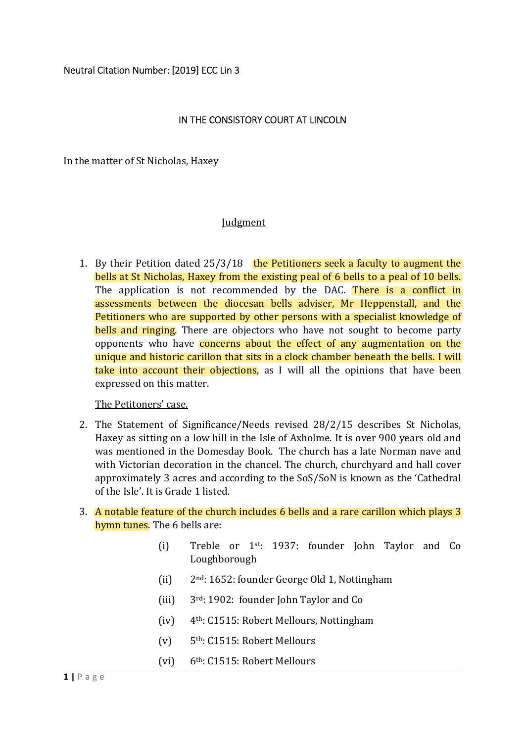### IN THE CONSISTORY COURT AT LINCOLN

In the matter of St Nicholas, Haxey

### **Judgment**

1. By their Petition dated 25/3/18 the Petitioners seek a faculty to augment the bells at St Nicholas, Haxey from the existing peal of 6 bells to a peal of 10 bells. The application is not recommended by the DAC. There is a conflict in assessments between the diocesan bells adviser, Mr Heppenstall, and the Petitioners who are supported by other persons with a specialist knowledge of bells and ringing. There are objectors who have not sought to become party opponents who have concerns about the effect of any augmentation on the unique and historic carillon that sits in a clock chamber beneath the bells. I will take into account their objections, as I will all the opinions that have been expressed on this matter.

The Petitoners' case.

- 2. The Statement of Significance/Needs revised 28/2/15 describes St Nicholas, Haxey as sitting on a low hill in the Isle of Axholme. It is over 900 years old and was mentioned in the Domesday Book. The church has a late Norman nave and with Victorian decoration in the chancel. The church, churchyard and hall cover approximately 3 acres and according to the SoS/SoN is known as the 'Cathedral of the Isle'. It is Grade 1 listed.
- 3. A notable feature of the church includes 6 bells and a rare carillon which plays 3 hymn tunes. The 6 bells are:
	- (i) Treble or 1st: 1937: founder John Taylor and Co Loughborough
	- (ii) 2nd: 1652: founder George Old 1, Nottingham
	- (iii) 3rd: 1902: founder John Taylor and Co
	- (iv) 4th: C1515: Robert Mellours, Nottingham
	- (v) 5th: C1515: Robert Mellours
	- (vi) 6th: C1515: Robert Mellours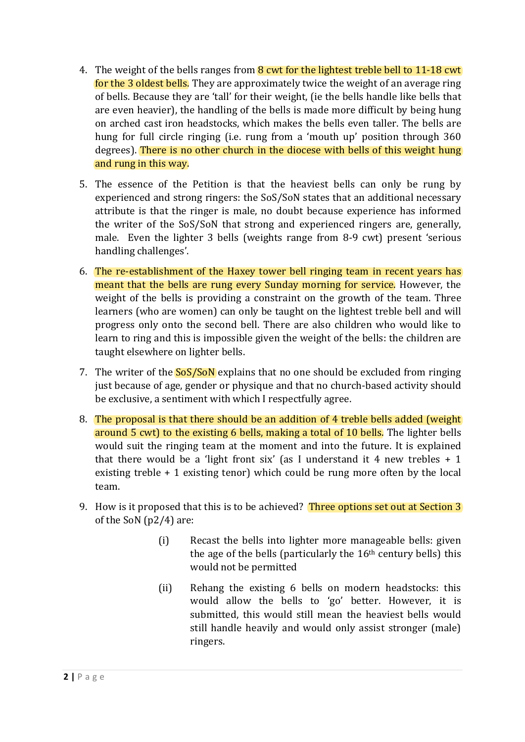- 4. The weight of the bells ranges from  $8$  cwt for the lightest treble bell to 11-18 cwt for the 3 oldest bells. They are approximately twice the weight of an average ring of bells. Because they are 'tall' for their weight, (ie the bells handle like bells that are even heavier), the handling of the bells is made more difficult by being hung on arched cast iron headstocks, which makes the bells even taller. The bells are hung for full circle ringing (i.e. rung from a 'mouth up' position through 360 degrees). There is no other church in the diocese with bells of this weight hung and rung in this way.
- 5. The essence of the Petition is that the heaviest bells can only be rung by experienced and strong ringers: the SoS/SoN states that an additional necessary attribute is that the ringer is male, no doubt because experience has informed the writer of the SoS/SoN that strong and experienced ringers are, generally, male. Even the lighter 3 bells (weights range from 8-9 cwt) present 'serious handling challenges'.
- 6. The re-establishment of the Haxey tower bell ringing team in recent years has meant that the bells are rung every Sunday morning for service. However, the weight of the bells is providing a constraint on the growth of the team. Three learners (who are women) can only be taught on the lightest treble bell and will progress only onto the second bell. There are also children who would like to learn to ring and this is impossible given the weight of the bells: the children are taught elsewhere on lighter bells.
- 7. The writer of the **SoS/SoN** explains that no one should be excluded from ringing just because of age, gender or physique and that no church-based activity should be exclusive, a sentiment with which I respectfully agree.
- 8. The proposal is that there should be an addition of 4 treble bells added (weight around 5 cwt) to the existing 6 bells, making a total of 10 bells. The lighter bells would suit the ringing team at the moment and into the future. It is explained that there would be a 'light front six' (as I understand it 4 new trebles  $+1$ existing treble + 1 existing tenor) which could be rung more often by the local team.
- 9. How is it proposed that this is to be achieved? Three options set out at Section 3 of the SoN (p2/4) are:
	- (i) Recast the bells into lighter more manageable bells: given the age of the bells (particularly the  $16<sup>th</sup>$  century bells) this would not be permitted
	- (ii) Rehang the existing 6 bells on modern headstocks: this would allow the bells to 'go' better. However, it is submitted, this would still mean the heaviest bells would still handle heavily and would only assist stronger (male) ringers.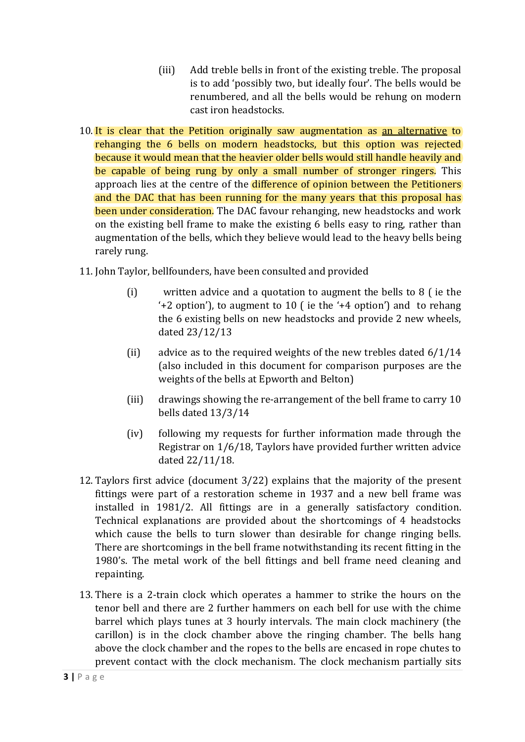- (iii) Add treble bells in front of the existing treble. The proposal is to add 'possibly two, but ideally four'. The bells would be renumbered, and all the bells would be rehung on modern cast iron headstocks.
- 10. It is clear that the Petition originally saw augmentation as an alternative to rehanging the 6 bells on modern headstocks, but this option was rejected because it would mean that the heavier older bells would still handle heavily and be capable of being rung by only a small number of stronger ringers. This approach lies at the centre of the difference of opinion between the Petitioners and the DAC that has been running for the many years that this proposal has been under consideration. The DAC favour rehanging, new headstocks and work on the existing bell frame to make the existing 6 bells easy to ring, rather than augmentation of the bells, which they believe would lead to the heavy bells being rarely rung.
- 11. John Taylor, bellfounders, have been consulted and provided
	- (i) written advice and a quotation to augment the bells to 8 ( ie the '+2 option'), to augment to 10 ( ie the '+4 option') and to rehang the 6 existing bells on new headstocks and provide 2 new wheels, dated 23/12/13
	- (ii) advice as to the required weights of the new trebles dated 6/1/14 (also included in this document for comparison purposes are the weights of the bells at Epworth and Belton)
	- (iii) drawings showing the re-arrangement of the bell frame to carry 10 bells dated 13/3/14
	- (iv) following my requests for further information made through the Registrar on 1/6/18, Taylors have provided further written advice dated 22/11/18.
- 12. Taylors first advice (document 3/22) explains that the majority of the present fittings were part of a restoration scheme in 1937 and a new bell frame was installed in 1981/2. All fittings are in a generally satisfactory condition. Technical explanations are provided about the shortcomings of 4 headstocks which cause the bells to turn slower than desirable for change ringing bells. There are shortcomings in the bell frame notwithstanding its recent fitting in the 1980's. The metal work of the bell fittings and bell frame need cleaning and repainting.
- 13. There is a 2-train clock which operates a hammer to strike the hours on the tenor bell and there are 2 further hammers on each bell for use with the chime barrel which plays tunes at 3 hourly intervals. The main clock machinery (the carillon) is in the clock chamber above the ringing chamber. The bells hang above the clock chamber and the ropes to the bells are encased in rope chutes to prevent contact with the clock mechanism. The clock mechanism partially sits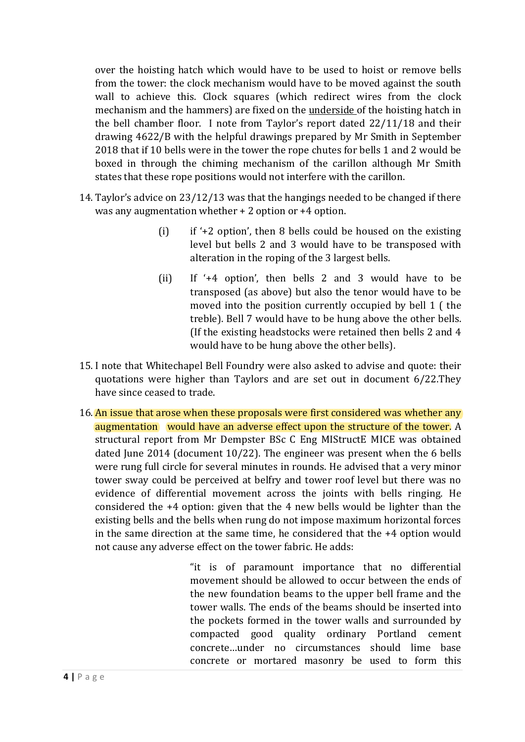over the hoisting hatch which would have to be used to hoist or remove bells from the tower: the clock mechanism would have to be moved against the south wall to achieve this. Clock squares (which redirect wires from the clock mechanism and the hammers) are fixed on the underside of the hoisting hatch in the bell chamber floor. I note from Taylor's report dated 22/11/18 and their drawing 4622/B with the helpful drawings prepared by Mr Smith in September 2018 that if 10 bells were in the tower the rope chutes for bells 1 and 2 would be boxed in through the chiming mechanism of the carillon although Mr Smith states that these rope positions would not interfere with the carillon.

- 14. Taylor's advice on 23/12/13 was that the hangings needed to be changed if there was any augmentation whether + 2 option or +4 option.
	- (i) if '+2 option', then 8 bells could be housed on the existing level but bells 2 and 3 would have to be transposed with alteration in the roping of the 3 largest bells.
	- (ii) If '+4 option', then bells 2 and 3 would have to be transposed (as above) but also the tenor would have to be moved into the position currently occupied by bell 1 ( the treble). Bell 7 would have to be hung above the other bells. (If the existing headstocks were retained then bells 2 and 4 would have to be hung above the other bells).
- 15. I note that Whitechapel Bell Foundry were also asked to advise and quote: their quotations were higher than Taylors and are set out in document 6/22.They have since ceased to trade.
- 16. An issue that arose when these proposals were first considered was whether any augmentation would have an adverse effect upon the structure of the tower. A structural report from Mr Dempster BSc C Eng MIStructE MICE was obtained dated June 2014 (document 10/22). The engineer was present when the 6 bells were rung full circle for several minutes in rounds. He advised that a very minor tower sway could be perceived at belfry and tower roof level but there was no evidence of differential movement across the joints with bells ringing. He considered the +4 option: given that the 4 new bells would be lighter than the existing bells and the bells when rung do not impose maximum horizontal forces in the same direction at the same time, he considered that the +4 option would not cause any adverse effect on the tower fabric. He adds:

"it is of paramount importance that no differential movement should be allowed to occur between the ends of the new foundation beams to the upper bell frame and the tower walls. The ends of the beams should be inserted into the pockets formed in the tower walls and surrounded by compacted good quality ordinary Portland cement concrete…under no circumstances should lime base concrete or mortared masonry be used to form this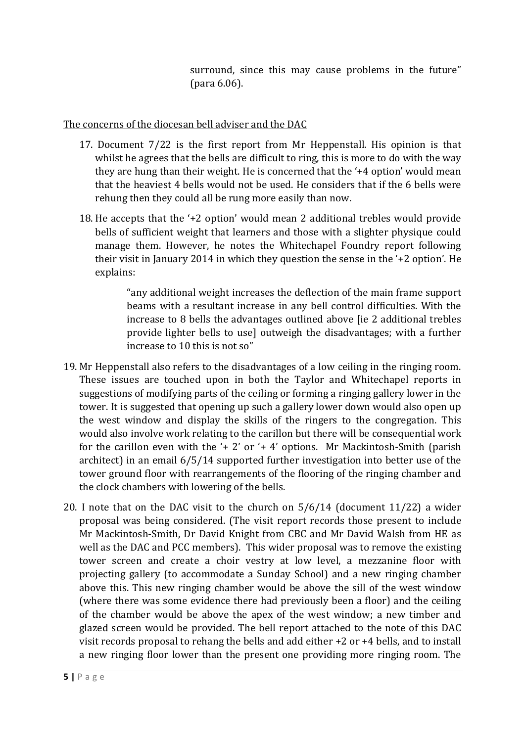surround, since this may cause problems in the future" (para 6.06).

### The concerns of the diocesan bell adviser and the DAC

- 17. Document 7/22 is the first report from Mr Heppenstall. His opinion is that whilst he agrees that the bells are difficult to ring, this is more to do with the way they are hung than their weight. He is concerned that the '+4 option' would mean that the heaviest 4 bells would not be used. He considers that if the 6 bells were rehung then they could all be rung more easily than now.
- 18. He accepts that the '+2 option' would mean 2 additional trebles would provide bells of sufficient weight that learners and those with a slighter physique could manage them. However, he notes the Whitechapel Foundry report following their visit in January 2014 in which they question the sense in the '+2 option'. He explains:

"any additional weight increases the deflection of the main frame support beams with a resultant increase in any bell control difficulties. With the increase to 8 bells the advantages outlined above [ie 2 additional trebles provide lighter bells to use] outweigh the disadvantages; with a further increase to 10 this is not so"

- 19. Mr Heppenstall also refers to the disadvantages of a low ceiling in the ringing room. These issues are touched upon in both the Taylor and Whitechapel reports in suggestions of modifying parts of the ceiling or forming a ringing gallery lower in the tower. It is suggested that opening up such a gallery lower down would also open up the west window and display the skills of the ringers to the congregation. This would also involve work relating to the carillon but there will be consequential work for the carillon even with the '+ 2' or '+ 4' options. Mr Mackintosh-Smith (parish architect) in an email 6/5/14 supported further investigation into better use of the tower ground floor with rearrangements of the flooring of the ringing chamber and the clock chambers with lowering of the bells.
- 20. I note that on the DAC visit to the church on 5/6/14 (document 11/22) a wider proposal was being considered. (The visit report records those present to include Mr Mackintosh-Smith, Dr David Knight from CBC and Mr David Walsh from HE as well as the DAC and PCC members). This wider proposal was to remove the existing tower screen and create a choir vestry at low level, a mezzanine floor with projecting gallery (to accommodate a Sunday School) and a new ringing chamber above this. This new ringing chamber would be above the sill of the west window (where there was some evidence there had previously been a floor) and the ceiling of the chamber would be above the apex of the west window; a new timber and glazed screen would be provided. The bell report attached to the note of this DAC visit records proposal to rehang the bells and add either +2 or +4 bells, and to install a new ringing floor lower than the present one providing more ringing room. The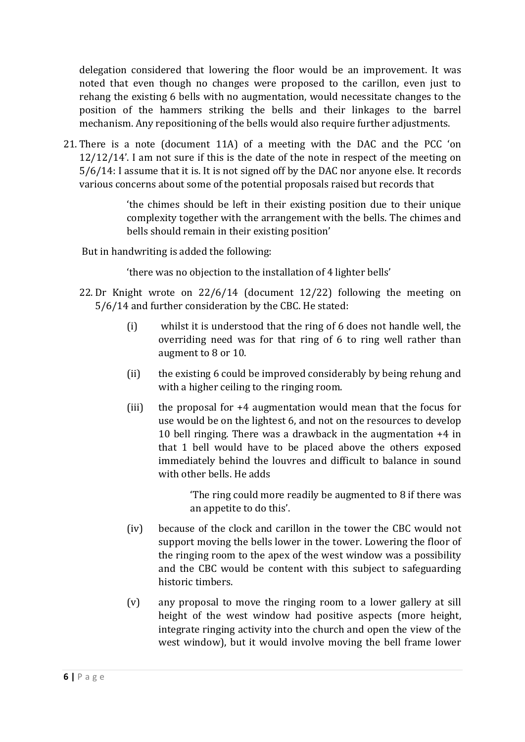delegation considered that lowering the floor would be an improvement. It was noted that even though no changes were proposed to the carillon, even just to rehang the existing 6 bells with no augmentation, would necessitate changes to the position of the hammers striking the bells and their linkages to the barrel mechanism. Any repositioning of the bells would also require further adjustments.

21. There is a note (document 11A) of a meeting with the DAC and the PCC 'on 12/12/14'. I am not sure if this is the date of the note in respect of the meeting on 5/6/14: I assume that it is. It is not signed off by the DAC nor anyone else. It records various concerns about some of the potential proposals raised but records that

> 'the chimes should be left in their existing position due to their unique complexity together with the arrangement with the bells. The chimes and bells should remain in their existing position'

But in handwriting is added the following:

'there was no objection to the installation of 4 lighter bells'

- 22. Dr Knight wrote on 22/6/14 (document 12/22) following the meeting on 5/6/14 and further consideration by the CBC. He stated:
	- (i) whilst it is understood that the ring of 6 does not handle well, the overriding need was for that ring of 6 to ring well rather than augment to 8 or 10.
	- (ii) the existing 6 could be improved considerably by being rehung and with a higher ceiling to the ringing room.
	- (iii) the proposal for +4 augmentation would mean that the focus for use would be on the lightest 6, and not on the resources to develop 10 bell ringing. There was a drawback in the augmentation +4 in that 1 bell would have to be placed above the others exposed immediately behind the louvres and difficult to balance in sound with other bells. He adds

'The ring could more readily be augmented to 8 if there was an appetite to do this'.

- (iv) because of the clock and carillon in the tower the CBC would not support moving the bells lower in the tower. Lowering the floor of the ringing room to the apex of the west window was a possibility and the CBC would be content with this subject to safeguarding historic timbers.
- (v) any proposal to move the ringing room to a lower gallery at sill height of the west window had positive aspects (more height, integrate ringing activity into the church and open the view of the west window), but it would involve moving the bell frame lower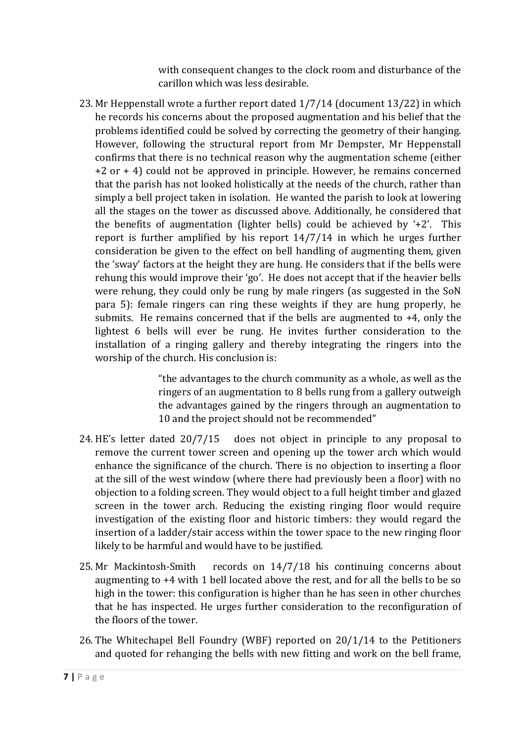with consequent changes to the clock room and disturbance of the carillon which was less desirable.

23. Mr Heppenstall wrote a further report dated 1/7/14 (document 13/22) in which he records his concerns about the proposed augmentation and his belief that the problems identified could be solved by correcting the geometry of their hanging. However, following the structural report from Mr Dempster, Mr Heppenstall confirms that there is no technical reason why the augmentation scheme (either +2 or + 4) could not be approved in principle. However, he remains concerned that the parish has not looked holistically at the needs of the church, rather than simply a bell project taken in isolation. He wanted the parish to look at lowering all the stages on the tower as discussed above. Additionally, he considered that the benefits of augmentation (lighter bells) could be achieved by '+2'. This report is further amplified by his report 14/7/14 in which he urges further consideration be given to the effect on bell handling of augmenting them, given the 'sway' factors at the height they are hung. He considers that if the bells were rehung this would improve their 'go'. He does not accept that if the heavier bells were rehung, they could only be rung by male ringers (as suggested in the SoN para 5): female ringers can ring these weights if they are hung properly, he submits. He remains concerned that if the bells are augmented to +4, only the lightest 6 bells will ever be rung. He invites further consideration to the installation of a ringing gallery and thereby integrating the ringers into the worship of the church. His conclusion is:

> "the advantages to the church community as a whole, as well as the ringers of an augmentation to 8 bells rung from a gallery outweigh the advantages gained by the ringers through an augmentation to 10 and the project should not be recommended"

- 24. HE's letter dated 20/7/15 does not object in principle to any proposal to remove the current tower screen and opening up the tower arch which would enhance the significance of the church. There is no objection to inserting a floor at the sill of the west window (where there had previously been a floor) with no objection to a folding screen. They would object to a full height timber and glazed screen in the tower arch. Reducing the existing ringing floor would require investigation of the existing floor and historic timbers: they would regard the insertion of a ladder/stair access within the tower space to the new ringing floor likely to be harmful and would have to be justified.
- 25. Mr Mackintosh-Smith records on 14/7/18 his continuing concerns about augmenting to +4 with 1 bell located above the rest, and for all the bells to be so high in the tower: this configuration is higher than he has seen in other churches that he has inspected. He urges further consideration to the reconfiguration of the floors of the tower.
- 26. The Whitechapel Bell Foundry (WBF) reported on 20/1/14 to the Petitioners and quoted for rehanging the bells with new fitting and work on the bell frame,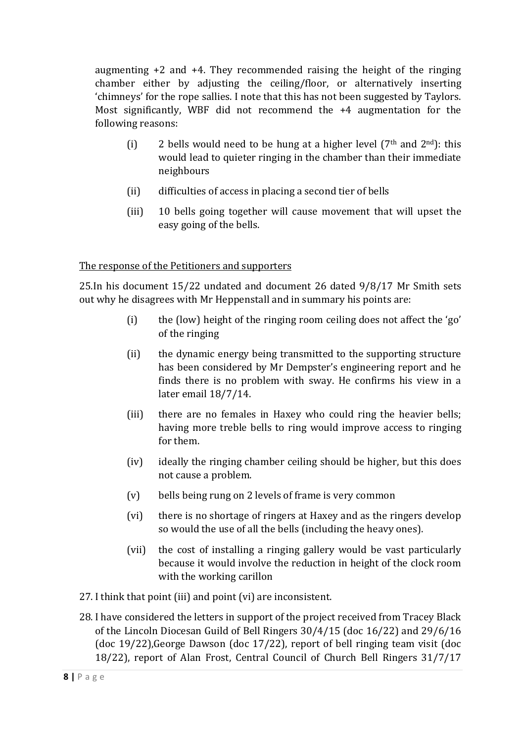augmenting +2 and +4. They recommended raising the height of the ringing chamber either by adjusting the ceiling/floor, or alternatively inserting 'chimneys' for the rope sallies. I note that this has not been suggested by Taylors. Most significantly, WBF did not recommend the +4 augmentation for the following reasons:

- (i) 2 bells would need to be hung at a higher level  $(7<sup>th</sup>$  and  $2<sup>nd</sup>)$ : this would lead to quieter ringing in the chamber than their immediate neighbours
- (ii) difficulties of access in placing a second tier of bells
- (iii) 10 bells going together will cause movement that will upset the easy going of the bells.

# The response of the Petitioners and supporters

25.In his document 15/22 undated and document 26 dated 9/8/17 Mr Smith sets out why he disagrees with Mr Heppenstall and in summary his points are:

- (i) the (low) height of the ringing room ceiling does not affect the 'go' of the ringing
- (ii) the dynamic energy being transmitted to the supporting structure has been considered by Mr Dempster's engineering report and he finds there is no problem with sway. He confirms his view in a later email 18/7/14.
- (iii) there are no females in Haxey who could ring the heavier bells; having more treble bells to ring would improve access to ringing for them.
- (iv) ideally the ringing chamber ceiling should be higher, but this does not cause a problem.
- (v) bells being rung on 2 levels of frame is very common
- (vi) there is no shortage of ringers at Haxey and as the ringers develop so would the use of all the bells (including the heavy ones).
- (vii) the cost of installing a ringing gallery would be vast particularly because it would involve the reduction in height of the clock room with the working carillon
- 27. I think that point (iii) and point (vi) are inconsistent.
- 28. I have considered the letters in support of the project received from Tracey Black of the Lincoln Diocesan Guild of Bell Ringers 30/4/15 (doc 16/22) and 29/6/16 (doc 19/22),George Dawson (doc 17/22), report of bell ringing team visit (doc 18/22), report of Alan Frost, Central Council of Church Bell Ringers 31/7/17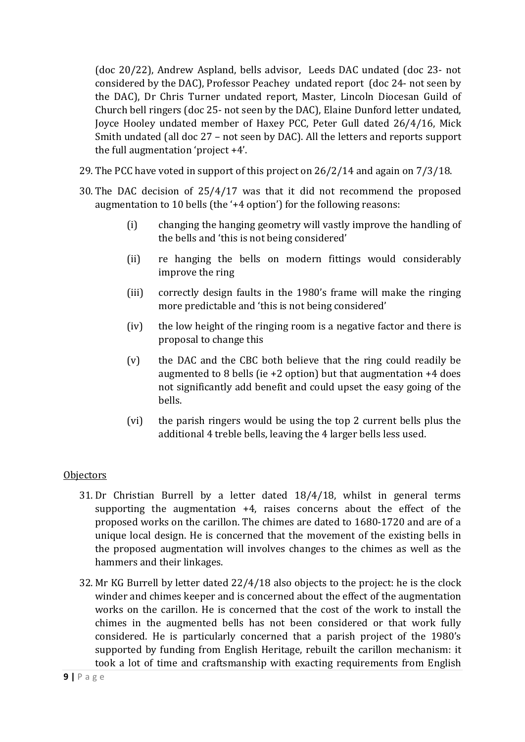(doc 20/22), Andrew Aspland, bells advisor, Leeds DAC undated (doc 23- not considered by the DAC), Professor Peachey undated report (doc 24- not seen by the DAC), Dr Chris Turner undated report, Master, Lincoln Diocesan Guild of Church bell ringers (doc 25- not seen by the DAC), Elaine Dunford letter undated, Joyce Hooley undated member of Haxey PCC, Peter Gull dated 26/4/16, Mick Smith undated (all doc 27 – not seen by DAC). All the letters and reports support the full augmentation 'project +4'.

- 29. The PCC have voted in support of this project on 26/2/14 and again on 7/3/18.
- 30. The DAC decision of 25/4/17 was that it did not recommend the proposed augmentation to 10 bells (the '+4 option') for the following reasons:
	- (i) changing the hanging geometry will vastly improve the handling of the bells and 'this is not being considered'
	- (ii) re hanging the bells on modern fittings would considerably improve the ring
	- (iii) correctly design faults in the 1980's frame will make the ringing more predictable and 'this is not being considered'
	- (iv) the low height of the ringing room is a negative factor and there is proposal to change this
	- (v) the DAC and the CBC both believe that the ring could readily be augmented to 8 bells (ie  $+2$  option) but that augmentation  $+4$  does not significantly add benefit and could upset the easy going of the bells.
	- (vi) the parish ringers would be using the top 2 current bells plus the additional 4 treble bells, leaving the 4 larger bells less used.

# **Objectors**

- 31. Dr Christian Burrell by a letter dated 18/4/18, whilst in general terms supporting the augmentation +4, raises concerns about the effect of the proposed works on the carillon. The chimes are dated to 1680-1720 and are of a unique local design. He is concerned that the movement of the existing bells in the proposed augmentation will involves changes to the chimes as well as the hammers and their linkages.
- 32. Mr KG Burrell by letter dated 22/4/18 also objects to the project: he is the clock winder and chimes keeper and is concerned about the effect of the augmentation works on the carillon. He is concerned that the cost of the work to install the chimes in the augmented bells has not been considered or that work fully considered. He is particularly concerned that a parish project of the 1980's supported by funding from English Heritage, rebuilt the carillon mechanism: it took a lot of time and craftsmanship with exacting requirements from English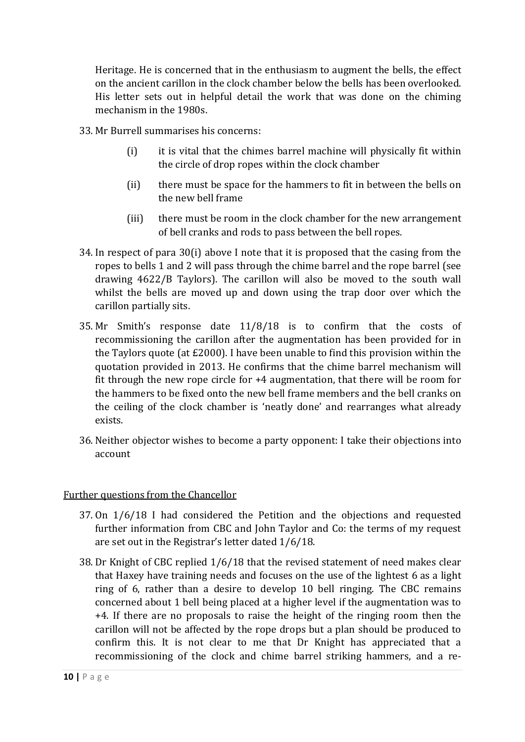Heritage. He is concerned that in the enthusiasm to augment the bells, the effect on the ancient carillon in the clock chamber below the bells has been overlooked. His letter sets out in helpful detail the work that was done on the chiming mechanism in the 1980s.

- 33. Mr Burrell summarises his concerns:
	- (i) it is vital that the chimes barrel machine will physically fit within the circle of drop ropes within the clock chamber
	- (ii) there must be space for the hammers to fit in between the bells on the new bell frame
	- (iii) there must be room in the clock chamber for the new arrangement of bell cranks and rods to pass between the bell ropes.
- 34. In respect of para 30(i) above I note that it is proposed that the casing from the ropes to bells 1 and 2 will pass through the chime barrel and the rope barrel (see drawing 4622/B Taylors). The carillon will also be moved to the south wall whilst the bells are moved up and down using the trap door over which the carillon partially sits.
- 35. Mr Smith's response date 11/8/18 is to confirm that the costs of recommissioning the carillon after the augmentation has been provided for in the Taylors quote (at £2000). I have been unable to find this provision within the quotation provided in 2013. He confirms that the chime barrel mechanism will fit through the new rope circle for +4 augmentation, that there will be room for the hammers to be fixed onto the new bell frame members and the bell cranks on the ceiling of the clock chamber is 'neatly done' and rearranges what already exists.
- 36. Neither objector wishes to become a party opponent: I take their objections into account

# Further questions from the Chancellor

- 37. On 1/6/18 I had considered the Petition and the objections and requested further information from CBC and John Taylor and Co: the terms of my request are set out in the Registrar's letter dated 1/6/18.
- 38. Dr Knight of CBC replied 1/6/18 that the revised statement of need makes clear that Haxey have training needs and focuses on the use of the lightest 6 as a light ring of 6, rather than a desire to develop 10 bell ringing. The CBC remains concerned about 1 bell being placed at a higher level if the augmentation was to +4. If there are no proposals to raise the height of the ringing room then the carillon will not be affected by the rope drops but a plan should be produced to confirm this. It is not clear to me that Dr Knight has appreciated that a recommissioning of the clock and chime barrel striking hammers, and a re-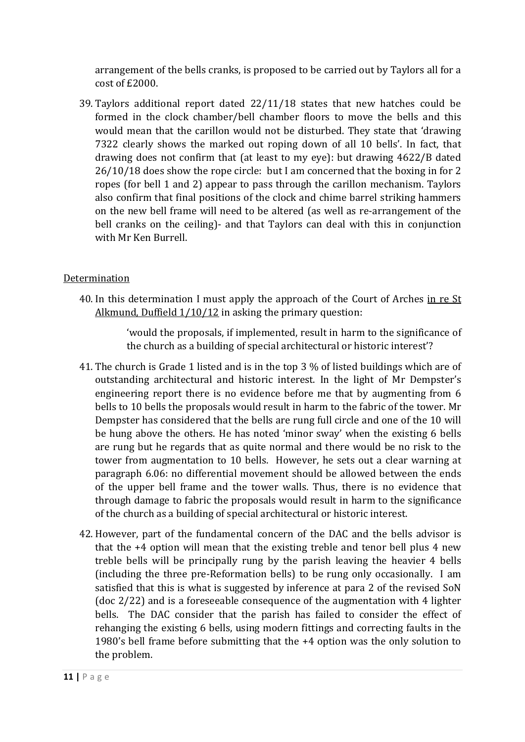arrangement of the bells cranks, is proposed to be carried out by Taylors all for a cost of £2000.

39. Taylors additional report dated 22/11/18 states that new hatches could be formed in the clock chamber/bell chamber floors to move the bells and this would mean that the carillon would not be disturbed. They state that 'drawing 7322 clearly shows the marked out roping down of all 10 bells'. In fact, that drawing does not confirm that (at least to my eye): but drawing 4622/B dated 26/10/18 does show the rope circle: but I am concerned that the boxing in for 2 ropes (for bell 1 and 2) appear to pass through the carillon mechanism. Taylors also confirm that final positions of the clock and chime barrel striking hammers on the new bell frame will need to be altered (as well as re-arrangement of the bell cranks on the ceiling)- and that Taylors can deal with this in conjunction with Mr Ken Burrell.

# Determination

40. In this determination I must apply the approach of the Court of Arches in re St Alkmund, Duffield  $1/10/12$  in asking the primary question:

> 'would the proposals, if implemented, result in harm to the significance of the church as a building of special architectural or historic interest'?

- 41. The church is Grade 1 listed and is in the top 3 % of listed buildings which are of outstanding architectural and historic interest. In the light of Mr Dempster's engineering report there is no evidence before me that by augmenting from 6 bells to 10 bells the proposals would result in harm to the fabric of the tower. Mr Dempster has considered that the bells are rung full circle and one of the 10 will be hung above the others. He has noted 'minor sway' when the existing 6 bells are rung but he regards that as quite normal and there would be no risk to the tower from augmentation to 10 bells. However, he sets out a clear warning at paragraph 6.06: no differential movement should be allowed between the ends of the upper bell frame and the tower walls. Thus, there is no evidence that through damage to fabric the proposals would result in harm to the significance of the church as a building of special architectural or historic interest.
- 42. However, part of the fundamental concern of the DAC and the bells advisor is that the +4 option will mean that the existing treble and tenor bell plus 4 new treble bells will be principally rung by the parish leaving the heavier 4 bells (including the three pre-Reformation bells) to be rung only occasionally. I am satisfied that this is what is suggested by inference at para 2 of the revised SoN (doc 2/22) and is a foreseeable consequence of the augmentation with 4 lighter bells. The DAC consider that the parish has failed to consider the effect of rehanging the existing 6 bells, using modern fittings and correcting faults in the 1980's bell frame before submitting that the +4 option was the only solution to the problem.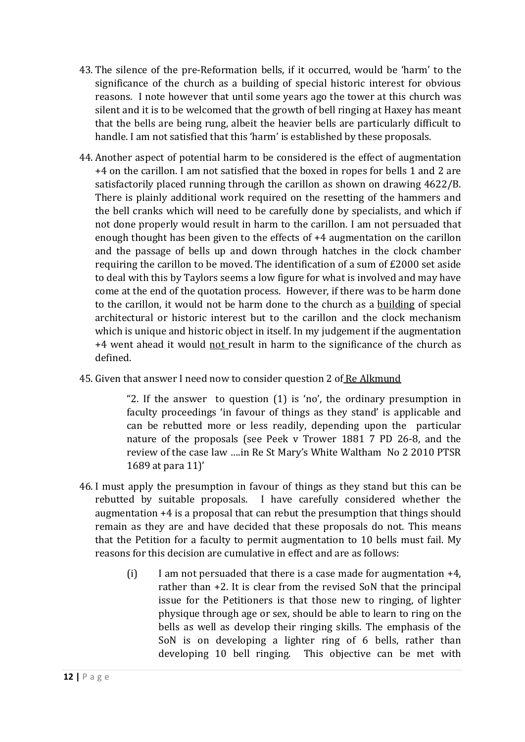- 43. The silence of the pre-Reformation bells, if it occurred, would be 'harm' to the significance of the church as a building of special historic interest for obvious reasons. I note however that until some years ago the tower at this church was silent and it is to be welcomed that the growth of bell ringing at Haxey has meant that the bells are being rung, albeit the heavier bells are particularly difficult to handle. I am not satisfied that this 'harm' is established by these proposals.
- 44. Another aspect of potential harm to be considered is the effect of augmentation +4 on the carillon. I am not satisfied that the boxed in ropes for bells 1 and 2 are satisfactorily placed running through the carillon as shown on drawing 4622/B. There is plainly additional work required on the resetting of the hammers and the bell cranks which will need to be carefully done by specialists, and which if not done properly would result in harm to the carillon. I am not persuaded that enough thought has been given to the effects of +4 augmentation on the carillon and the passage of bells up and down through hatches in the clock chamber requiring the carillon to be moved. The identification of a sum of £2000 set aside to deal with this by Taylors seems a low figure for what is involved and may have come at the end of the quotation process. However, if there was to be harm done to the carillon, it would not be harm done to the church as a building of special architectural or historic interest but to the carillon and the clock mechanism which is unique and historic object in itself. In my judgement if the augmentation +4 went ahead it would not result in harm to the significance of the church as defined.
- 45. Given that answer I need now to consider question 2 of Re Alkmund

"2. If the answer to question (1) is 'no', the ordinary presumption in faculty proceedings 'in favour of things as they stand' is applicable and can be rebutted more or less readily, depending upon the particular nature of the proposals (see Peek v Trower 1881 7 PD 26-8, and the review of the case law ….in Re St Mary's White Waltham No 2 2010 PTSR 1689 at para 11)'

- 46. I must apply the presumption in favour of things as they stand but this can be rebutted by suitable proposals. I have carefully considered whether the augmentation +4 is a proposal that can rebut the presumption that things should remain as they are and have decided that these proposals do not. This means that the Petition for a faculty to permit augmentation to 10 bells must fail. My reasons for this decision are cumulative in effect and are as follows:
	- (i) I am not persuaded that there is a case made for augmentation +4, rather than +2. It is clear from the revised SoN that the principal issue for the Petitioners is that those new to ringing, of lighter physique through age or sex, should be able to learn to ring on the bells as well as develop their ringing skills. The emphasis of the SoN is on developing a lighter ring of 6 bells, rather than developing 10 bell ringing. This objective can be met with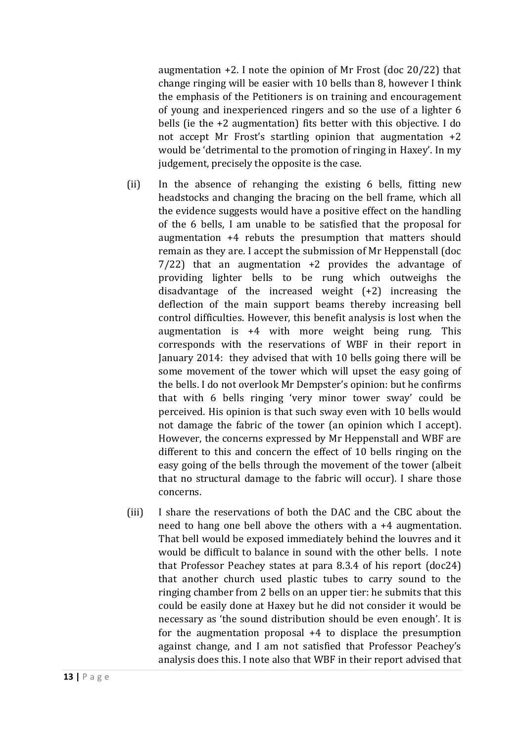augmentation +2. I note the opinion of Mr Frost (doc 20/22) that change ringing will be easier with 10 bells than 8, however I think the emphasis of the Petitioners is on training and encouragement of young and inexperienced ringers and so the use of a lighter 6 bells (ie the +2 augmentation) fits better with this objective. I do not accept Mr Frost's startling opinion that augmentation +2 would be 'detrimental to the promotion of ringing in Haxey'. In my judgement, precisely the opposite is the case.

- (ii) In the absence of rehanging the existing 6 bells, fitting new headstocks and changing the bracing on the bell frame, which all the evidence suggests would have a positive effect on the handling of the 6 bells, I am unable to be satisfied that the proposal for augmentation +4 rebuts the presumption that matters should remain as they are. I accept the submission of Mr Heppenstall (doc  $7/22$ ) that an augmentation  $+2$  provides the advantage of providing lighter bells to be rung which outweighs the disadvantage of the increased weight (+2) increasing the deflection of the main support beams thereby increasing bell control difficulties. However, this benefit analysis is lost when the augmentation is +4 with more weight being rung. This corresponds with the reservations of WBF in their report in January 2014: they advised that with 10 bells going there will be some movement of the tower which will upset the easy going of the bells. I do not overlook Mr Dempster's opinion: but he confirms that with 6 bells ringing 'very minor tower sway' could be perceived. His opinion is that such sway even with 10 bells would not damage the fabric of the tower (an opinion which I accept). However, the concerns expressed by Mr Heppenstall and WBF are different to this and concern the effect of 10 bells ringing on the easy going of the bells through the movement of the tower (albeit that no structural damage to the fabric will occur). I share those concerns.
- (iii) I share the reservations of both the DAC and the CBC about the need to hang one bell above the others with a +4 augmentation. That bell would be exposed immediately behind the louvres and it would be difficult to balance in sound with the other bells. I note that Professor Peachey states at para 8.3.4 of his report (doc24) that another church used plastic tubes to carry sound to the ringing chamber from 2 bells on an upper tier: he submits that this could be easily done at Haxey but he did not consider it would be necessary as 'the sound distribution should be even enough'. It is for the augmentation proposal +4 to displace the presumption against change, and I am not satisfied that Professor Peachey's analysis does this. I note also that WBF in their report advised that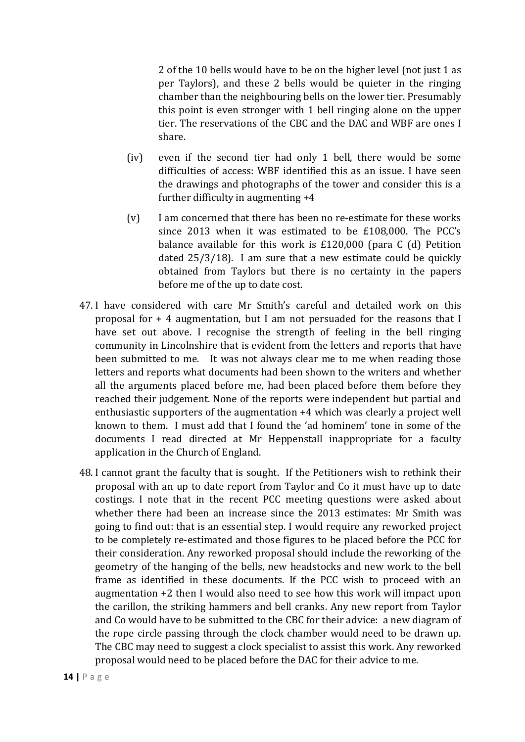2 of the 10 bells would have to be on the higher level (not just 1 as per Taylors), and these 2 bells would be quieter in the ringing chamber than the neighbouring bells on the lower tier. Presumably this point is even stronger with 1 bell ringing alone on the upper tier. The reservations of the CBC and the DAC and WBF are ones I share.

- (iv) even if the second tier had only 1 bell, there would be some difficulties of access: WBF identified this as an issue. I have seen the drawings and photographs of the tower and consider this is a further difficulty in augmenting +4
- (v) I am concerned that there has been no re-estimate for these works since 2013 when it was estimated to be £108,000. The PCC's balance available for this work is £120,000 (para C (d) Petition dated 25/3/18). I am sure that a new estimate could be quickly obtained from Taylors but there is no certainty in the papers before me of the up to date cost.
- 47. I have considered with care Mr Smith's careful and detailed work on this proposal for + 4 augmentation, but I am not persuaded for the reasons that I have set out above. I recognise the strength of feeling in the bell ringing community in Lincolnshire that is evident from the letters and reports that have been submitted to me. It was not always clear me to me when reading those letters and reports what documents had been shown to the writers and whether all the arguments placed before me, had been placed before them before they reached their judgement. None of the reports were independent but partial and enthusiastic supporters of the augmentation +4 which was clearly a project well known to them. I must add that I found the 'ad hominem' tone in some of the documents I read directed at Mr Heppenstall inappropriate for a faculty application in the Church of England.
- 48. I cannot grant the faculty that is sought. If the Petitioners wish to rethink their proposal with an up to date report from Taylor and Co it must have up to date costings. I note that in the recent PCC meeting questions were asked about whether there had been an increase since the 2013 estimates: Mr Smith was going to find out: that is an essential step. I would require any reworked project to be completely re-estimated and those figures to be placed before the PCC for their consideration. Any reworked proposal should include the reworking of the geometry of the hanging of the bells, new headstocks and new work to the bell frame as identified in these documents. If the PCC wish to proceed with an augmentation +2 then I would also need to see how this work will impact upon the carillon, the striking hammers and bell cranks. Any new report from Taylor and Co would have to be submitted to the CBC for their advice: a new diagram of the rope circle passing through the clock chamber would need to be drawn up. The CBC may need to suggest a clock specialist to assist this work. Any reworked proposal would need to be placed before the DAC for their advice to me.